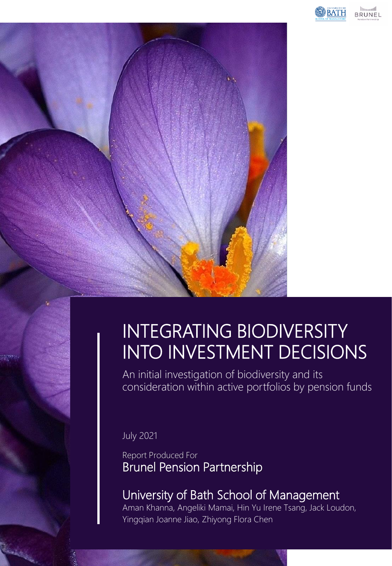

**BRUNEL** 

# INTEGRATING BIODIVERSITY INTO INVESTMENT DECISIONS

An initial investigation of biodiversity and its consideration within active portfolios by pension funds

July 2021

ा ज

Report Produced For Brunel Pension Partnership

# University of Bath School of Management

Aman Khanna, Angeliki Mamai, Hin Yu Irene Tsang, Jack Loudon, Yingqian Joanne Jiao, Zhiyong Flora Chen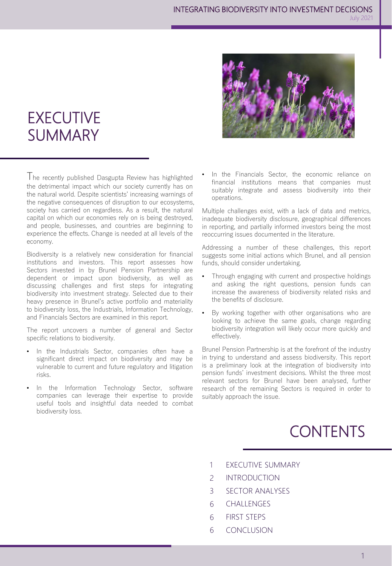

## **EXECUTIVE** SUMMARY

The recently published Dasgupta Review has highlighted the detrimental impact which our society currently has on the natural world. Despite scientists' increasing warnings of the negative consequences of disruption to our ecosystems, society has carried on regardless. As a result, the natural capital on which our economies rely on is being destroyed, and people, businesses, and countries are beginning to experience the effects. Change is needed at all levels of the economy.

Biodiversity is a relatively new consideration for financial institutions and investors. This report assesses how Sectors invested in by Brunel Pension Partnership are dependent or impact upon biodiversity, as well as discussing challenges and first steps for integrating biodiversity into investment strategy. Selected due to their heavy presence in Brunel's active portfolio and materiality to biodiversity loss, the Industrials, Information Technology, and Financials Sectors are examined in this report.

The report uncovers a number of general and Sector specific relations to biodiversity.

- In the Industrials Sector, companies often have a significant direct impact on biodiversity and may be vulnerable to current and future regulatory and litigation risks.
- In the Information Technology Sector, software companies can leverage their expertise to provide useful tools and insightful data needed to combat biodiversity loss.

In the Financials Sector, the economic reliance on financial institutions means that companies must suitably integrate and assess biodiversity into their operations.

Multiple challenges exist, with a lack of data and metrics, inadequate biodiversity disclosure, geographical differences in reporting, and partially informed investors being the most reoccurring issues documented in the literature.

Addressing a number of these challenges, this report suggests some initial actions which Brunel, and all pension funds, should consider undertaking.

- Through engaging with current and prospective holdings and asking the right questions, pension funds can increase the awareness of biodiversity related risks and the benefits of disclosure.
- By working together with other organisations who are looking to achieve the same goals, change regarding biodiversity integration will likely occur more quickly and effectively.

Brunel Pension Partnership is at the forefront of the industry in trying to understand and assess biodiversity. This report is a preliminary look at the integration of biodiversity into pension funds' investment decisions. Whilst the three most relevant sectors for Brunel have been analysed, further research of the remaining Sectors is required in order to suitably approach the issue.

# **CONTENTS**

- EXECUTIVE SUMMARY 1
- INTRODUCTION  $\overline{2}$
- SECTOR ANALYSES 3
- **CHALLENGES** 6
- FIRST STEPS 6
- CONCLUSION 6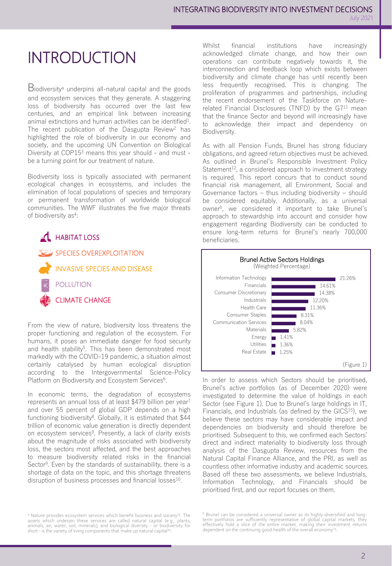# INTRODUCTION

Biodiversity<sup>a</sup> underpins all-natural capital and the goods and ecosystem services that they generate. A staggering loss of biodiversity has occurred over the last few centuries, and an empirical link between increasing animal extinctions and human activities can be identified<sup>1</sup>. The recent publication of the Dasgupta Review<sup>2</sup> has highlighted the role of biodiversity in our economy and society, and the upcoming UN Convention on Biological Diversity at COP15<sup>3</sup> means this year should - and must be a turning point for our treatment of nature.

Biodiversity loss is typically associated with permanent ecological changes in ecosystems, and includes the elimination of local populations of species and temporary or permanent transformation of worldwide biological communities. The WWF illustrates the five major threats of biodiversity as<sup>4</sup>:



From the view of nature, biodiversity loss threatens the proper functioning and regulation of the ecosystem. For humans, it poses an immediate danger for food security and health stability<sup>5</sup>. This has been demonstrated most markedly with the COVID-19 pandemic, a situation almost certainly catalysed by human ecological disruption according to the Intergovernmental Science-Policy Platform on Biodiversity and Ecosystem Services<sup>6</sup>.

In economic terms, the degradation of ecosystems represents an annual loss of at least \$479 billion per year<sup>7</sup> and over 55 percent of global GDP depends on a high functioning biodiversity<sup>8</sup>. Globally, it is estimated that \$44 trillion of economic value generation is directly dependent on ecosystem services<sup>9</sup>. Presently, a lack of clarity exists about the magnitude of risks associated with biodiversity loss, the sectors most affected, and the best approaches to measure biodiversity related risks in the financial Sector<sup>9</sup>. Even by the standards of sustainability, there is a shortage of data on the topic, and this shortage threatens disruption of business processes and financial losses<sup>10</sup>.

<sup>a</sup> Nature provides ecosystem services which benefit business and society<sup>13</sup>. The assets which underpin these services are called natural capital (e.g., plants,<br>animals, air, water, soil, minerals), and biological diversity - or biodiversity for<br>short - is the variety of living components that make up n Whilst financial institutions have increasingly acknowledged climate change, and how their own operations can contribute negatively towards it, the interconnection and feedback loop which exists between biodiversity and climate change has until recently been less frequently recognised. This is changing. The proliferation of programmes and partnerships, including the recent endorsement of the Taskforce on Naturerelated Financial Disclosures (TNFD) by the G7<sup>11</sup> mean that the finance Sector and beyond will increasingly have to acknowledge their impact and dependency on Biodiversity.

As with all Pension Funds, Brunel has strong fiduciary obligations, and agreed return objectives must be achieved. As outlined in Brunel's Responsible Investment Policy Statement<sup>12</sup>, a considered approach to investment strategy is required. This report concurs that to conduct sound financial risk management, all Environment, Social and Governance factors – thus including biodiversity – should be considered equitably. Additionally, as a universal owner<sup>b</sup>, we considered it important to take Brunel's approach to stewardship into account and consider how engagement regarding Biodiversity can be conducted to ensure long-term returns for Brunel's nearly 700,000 beneficiaries.



In order to assess which Sectors should be prioritised, Brunel's active portfolios (as of December 2020) were investigated to determine the value of holdings in each Sector (see Figure 1). Due to Brunel's large holdings in IT, Financials, and Industrials (as defined by the GICS<sup>15</sup>), we believe these sectors may have considerable impact and dependencies on biodiversity and should therefore be prioritised. Subsequent to this, we confirmed each Sectors' direct and indirect materiality to biodiversity loss through analysis of the Dasgupta Review, resources from the Natural Capital Finance Alliance, and the PRI, as well as countless other informative industry and academic sources. Based off these two assessments, we believe Industrials, Information Technology, and Financials should be prioritised first, and our report focuses on them.

<sup>b</sup> Brunel can be considered a universal owner as its highly-diversified and long-<br>term portfolios are sufficiently representative of global capital markets, they<br>effectively hold a slice of the entire market, making their dependent on the continuing good health of the overall economy<sup>25</sup>.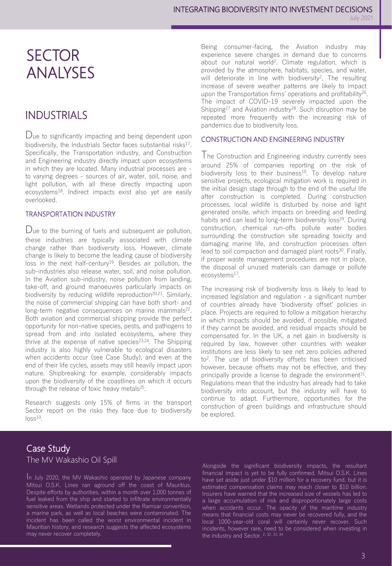## **SECTOR** ANALYSES

### INDUSTRIALS

Due to significantly impacting and being dependent upon biodiversity, the Industrials Sector faces substantial risks<sup>17</sup>. Specifically, the Transportation industry, and Construction and Engineering industry directly impact upon ecosystems in which they are located. Many industrial processes are to varying degrees - sources of air, water, soil, noise, and light pollution, with all these directly impacting upon ecosystems<sup>18</sup>. Indirect impacts exist also yet are easily overlooked.

#### TRANSPORTATION INDUSTRY

Due to the burning of fuels and subsequent air pollution, these industries are typically associated with climate change rather than biodiversity loss. However, climate change is likely to become the leading cause of biodiversity loss in the next half-century<sup>19</sup>. Besides air pollution, the sub-industries also release water, soil, and noise pollution. In the Aviation sub-industry, noise pollution from landing, take-off, and ground manoeuvres particularly impacts on biodiversity by reducing wildlife reproduction<sup>20,21</sup>. Similarly, the noise of commercial shipping can have both short- and long-term negative consequences on marine mammals<sup>22</sup>. Both aviation and commercial shipping provide the perfect opportunity for non-native species, pests, and pathogens to spread from and into isolated ecosystems, where they thrive at the expense of native species<sup>23,24</sup>. The Shipping industry is also highly vulnerable to ecological disasters when accidents occur (see Case Study), and even at the end of their life cycles, assets may still heavily impact upon nature. Shipbreaking for example, considerably impacts upon the biodiversity of the coastlines on which it occurs through the release of toxic heavy metals<sup>25</sup>.

Research suggests only 15% of firms in the transport Sector report on the risks they face due to biodiversity  $loss<sup>10</sup>$ .

Being consumer-facing, the Aviation industry may experience severe changes in demand due to concerns about our natural world<sup>2</sup>. Climate regulation, which is provided by the atmosphere, habitats, species, and water, will deteriorate in line with biodiversity<sup>2</sup>. The resulting increase of severe weather patterns are likely to impact upon the Transportation firms' operations and profitability<sup>26</sup>. The impact of COVID-19 severely impacted upon the Shipping<sup>27</sup> and Aviation industry<sup>28</sup>. Such disruption may be repeated more frequently with the increasing risk of pandemics due to biodiversity loss.

#### CONSTRUCTION AND ENGINEERING INDUSTRY

The Construction and Engineering industry currently sees around 25% of companies reporting on the risk of biodiversity loss to their business<sup>10</sup>. To develop nature sensitive projects, ecological mitigation work is required in the initial design stage through to the end of the useful life after construction is completed. During construction processes, local wildlife is disturbed by noise and light generated onsite, which impacts on breeding and feeding habits and can lead to long-term biodiversity loss<sup>29</sup>. During construction, chemical run-offs pollute water bodies surrounding the construction site spreading toxicity and damaging marine life, and construction processes often lead to soil compaction and damaged plant roots<sup>30</sup>. Finally, if proper waste management procedures are not in place, the disposal of unused materials can damage or pollute ecosystems<sup>17</sup>.

The increasing risk of biodiversity loss is likely to lead to increased legislation and regulation - a significant number of countries already have 'biodiversity offset' policies in place. Projects are required to follow a mitigation hierarchy in which impacts should be avoided, if possible, mitigated if they cannot be avoided, and residual impacts should be compensated for. In the UK, a net gain in biodiversity is required by law, however other countries with weaker institutions are less likely to see net zero policies adhered to<sup>2</sup> . The use of biodiversity offsets has been criticised however, because offsets may not be effective, and they principally provide a license to degrade the environment<sup>31</sup>. Regulations mean that the industry has already had to take biodiversity into account, but the industry will have to continue to adapt. Furthermore, opportunities for the construction of green buildings and infrastructure should be explored.

#### Case Study The MV Wakashio Oil Spill

I<sup>n</sup> July 2020, the MV Wakashio operated by Japanese company Mitsui O.S.K. Lines ran aground off the coast of Mauritius. Despite efforts by authorities, within a month over 1,000 tonnes of fuel leaked from the ship and started to infiltrate environmentally sensitive areas. Wetlands protected under the Ramsar convention, a marine park, as well as local beaches were contaminated. The incident has been called the worst environmental incident in Mauritian history, and research suggests the affected ecosystems may never recover completely.

Alongside the significant biodiversity impacts, the resultant financial impact is yet to be fully confirmed. Mitsui O.S.K. Lines have set aside just under \$10 million for a recovery fund, but it is estimated compensation claims may reach closer to \$10 billion. Insurers have warned that the increased size of vessels has led to a large accumulation of risk and disproportionately large costs when accidents occur. The opacity of the maritime industry means that financial costs may never be recovered fully, and the local 1000-year-old coral will certainly never recover. Such incidents, however rare, need to be considered when investing in the industry and Sector. <sup>2, 32, 33, 34</sup>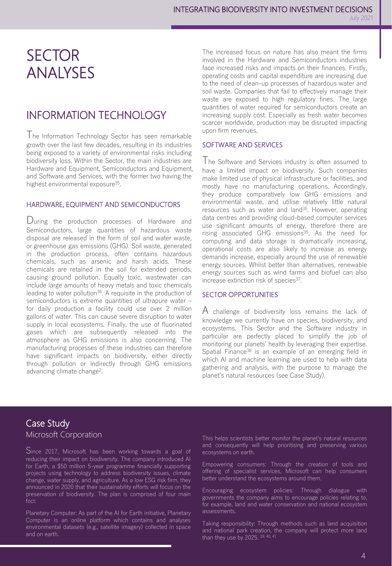## **SECTOR** ANALYSES

### INFORMATION TECHNOLOGY

The Information Technology Sector has seen remarkable growth over the last few decades, resulting in its industries being exposed to a variety of environmental risks including biodiversity loss. Within the Sector, the main industries are Hardware and Equipment, Semiconductors and Equipment, and Software and Services, with the former two having the highest environmental exposure<sup>35</sup>.

#### HARDWARE, EQUIPMENT AND SEMICONDUCTORS

During the production processes of Hardware and Semiconductors, large quantities of hazardous waste disposal are released in the form of soil and water waste, or greenhouse gas emissions (GHG). Soil waste, generated in the production process, often contains hazardous chemicals, such as arsenic and harsh acids. These chemicals are retained in the soil for extended periods, causing ground pollution. Equally toxic, wastewater can include large amounts of heavy metals and toxic chemicals leading to water pollution<sup>36</sup>. A requisite in the production of semiconductors is extreme quantities of ultrapure water – for daily production a facility could use over 2 million gallons of water. This can cause severe disruption to water supply in local ecosystems. Finally, the use of fluorinated gases which are subsequently released into the atmosphere as GHG emissions is also concerning. The manufacturing processes of these industries can therefore have significant impacts on biodiversity, either directly through pollution or indirectly through GHG emissions advancing climate change<sup>2</sup> .

The increased focus on nature has also meant the firms involved in the Hardware and Semiconductors industries face increased risks and impacts on their finances. Firstly, operating costs and capital expenditure are increasing due to the need of clean-up processes of hazardous water and soil waste. Companies that fail to effectively manage their waste are exposed to high regulatory fines. The large quantities of water required for semiconductors create an increasing supply cost. Especially as fresh water becomes scarcer worldwide, production may be disrupted impacting upon firm revenues.

#### SOFTWARE AND SERVICES

The Software and Services industry is often assumed to have a limited impact on biodiversity. Such companies make limited use of physical infrastructure or facilities, and mostly have no manufacturing operations. Accordingly, they produce comparatively low GHG emissions and environmental waste, and utilise relatively little natural resources such as water and land<sup>35</sup>. However, operating data centres and providing cloud-based computer services use significant amounts of energy, therefore there are rising associated GHG emissions<sup>35</sup>. As the need for computing and data storage is dramatically increasing, operational costs are also likely to increase as energy demands increase, especially around the use of renewable energy sources. Whilst better than alternatives, renewable energy sources such as wind farms and biofuel can also increase extinction risk of species<sup>37</sup>.

#### SECTOR OPPORTUNITIES

A challenge of biodiversity loss remains the lack of knowledge we currently have on species, biodiversity, and ecosystems. This Sector and the Software industry in particular are perfectly placed to simplify the job of monitoring our planets' health by leveraging their expertise. Spatial Finance<sup>38</sup> is an example of an emerging field in which AI and machine learning are used to help with data gathering and analysis, with the purpose to manage the planet's natural resources (see Case Study).

#### Case Study Microsoft Corporation

Since 2017, Microsoft has been working towards <sup>a</sup> goal of reducing their impact on biodiversity. The company introduced AI for Earth, a \$50 million 5-year programme financially supporting projects using technology to address biodiversity issues, climate change, water supply, and agriculture. As a low ESG risk firm, they announced in 2020 that their sustainability efforts will focus on the preservation of biodiversity. The plan is comprised of four main foci:

Planetary Computer: As part of the AI for Earth initiative, Planetary Computer is an online platform which contains and analyses environmental datasets (e.g., satellite imagery) collected in space and on earth.

This helps scientists better monitor the planet's natural resources and consequently will help prioritising and preserving various ecosystems on earth.

Empowering consumers: Through the creation of tools and offering of specialist services, Microsoft can help consumers better understand the ecosystems around them.

Encouraging ecosystem policies: Through dialogue with governments the company aims to encourage policies relating to, for example, land and water conservation and national ecosystem assessments.

Taking responsibility: Through methods such as land acquisition and national park creation, the company will protect more land than they use by 2025. 39, 40, 41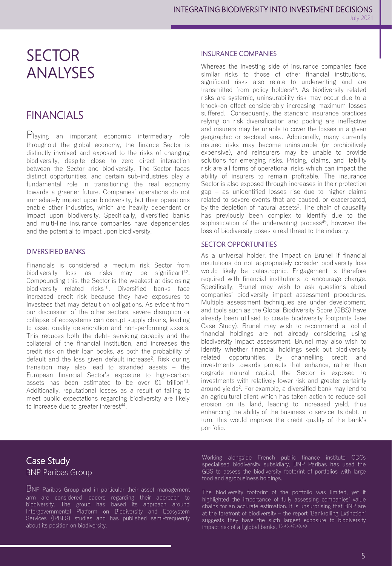## **SECTOR** ANALYSES

### FINANCIALS

Playing an important economic intermediary role throughout the global economy, the finance Sector is distinctly involved and exposed to the risks of changing biodiversity, despite close to zero direct interaction between the Sector and biodiversity. The Sector faces distinct opportunities, and certain sub-industries play a fundamental role in transitioning the real economy towards a greener future. Companies' operations do not immediately impact upon biodiversity, but their operations enable other industries, which are heavily dependent or impact upon biodiversity. Specifically, diversified banks and multi-line insurance companies have dependencies and the potential to impact upon biodiversity.

#### DIVERSIFIED BANKS

Financials is considered a medium risk Sector from biodiversity loss as risks may be significant<sup>42</sup>. Compounding this, the Sector is the weakest at disclosing biodiversity related risks<sup>10</sup>. Diversified banks face increased credit risk because they have exposures to investees that may default on obligations. As evident from our discussion of the other sectors, severe disruption or collapse of ecosystems can disrupt supply chains, leading to asset quality deterioration and non-performing assets. This reduces both the debt- servicing capacity and the collateral of the financial institution, and increases the credit risk on their loan books, as both the probability of default and the loss given default increase<sup>2</sup> . Risk during transition may also lead to stranded assets – the European financial Sector's exposure to high-carbon assets has been estimated to be over €1 trillion<sup>43</sup>. Additionally, reputational losses as a result of failing to meet public expectations regarding biodiversity are likely to increase due to greater interest<sup>44</sup>.

#### INSURANCE COMPANIES

Whereas the investing side of insurance companies face similar risks to those of other financial institutions, significant risks also relate to underwriting and are transmitted from policy holders<sup>45</sup>. As biodiversity related risks are systemic, uninsurability risk may occur due to a knock-on effect considerably increasing maximum losses suffered. Consequently, the standard insurance practices relying on risk diversification and pooling are ineffective and insurers may be unable to cover the losses in a given geographic or sectoral area. Additionally, many currently insured risks may become uninsurable (or prohibitively expensive), and reinsurers may be unable to provide solutions for emerging risks. Pricing, claims, and liability risk are all forms of operational risks which can impact the ability of insurers to remain profitable. The insurance Sector is also exposed through increases in their protection gap – as unidentified losses rise due to higher claims related to severe events that are caused, or exacerbated, by the depletion of natural assets<sup>2</sup>. The chain of causality has previously been complex to identify due to the sophistication of the underwriting process<sup>45</sup>, however the loss of biodiversity poses a real threat to the industry.

#### SECTOR OPPORTUNITIES

As a universal holder, the impact on Brunel if financial institutions do not appropriately consider biodiversity loss would likely be catastrophic. Engagement is therefore required with financial institutions to encourage change. Specifically, Brunel may wish to ask questions about companies' biodiversity impact assessment procedures. Multiple assessment techniques are under development, and tools such as the Global Biodiversity Score (GBS) have already been utilised to create biodiversity footprints (see Case Study). Brunel may wish to recommend a tool if financial holdings are not already considering using biodiversity impact assessment. Brunel may also wish to identify whether financial holdings seek out biodiversity related opportunities. By channelling credit and investments towards projects that enhance, rather than degrade natural capital, the Sector is exposed to investments with relatively lower risk and greater certainty around yields<sup>2</sup>. For example, a diversified bank may lend to an agricultural client which has taken action to reduce soil erosion on its land, leading to increased yield, thus enhancing the ability of the business to service its debt. In turn, this would improve the credit quality of the bank's portfolio.

#### Case Study BNP Paribas Group

BNP Paribas Group and in particular their asset management arm are considered leaders regarding their approach to biodiversity. The group has based its approach around Intergovernmental Platform on Biodiversity and Ecosystem Services (IPBES) studies and has published semi-frequently about its position on biodiversity.

Working alongside French public finance institute CDCs specialised biodiversity subsidiary, BNP Paribas has used the GBS to assess the biodiversity footprint of portfolios with large food and agrobusiness holdings.

The biodiversity footprint of the portfolio was limited, yet it highlighted the importance of fully assessing companies' value chains for an accurate estimation. It is unsurprising that BNP are at the forefront of biodiversity – the report 'Bankrolling Extinction' suggests they have the sixth largest exposure to biodiversity impact risk of all global banks. 16, 46, 47, 48, 49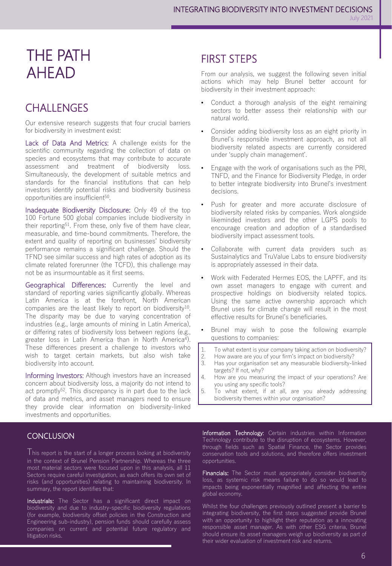## THE PATH AHEAD

### **CHALLENGES**

Our extensive research suggests that four crucial barriers for biodiversity in investment exist:

Lack of Data And Metrics: A challenge exists for the scientific community regarding the collection of data on species and ecosystems that may contribute to accurate assessment and treatment of biodiversity loss. Simultaneously, the development of suitable metrics and standards for the financial institutions that can help investors identify potential risks and biodiversity business opportunities are insufficient<sup>50</sup>.

Inadequate Biodiversity Disclosure: Only 49 of the top 100 Fortune 500 global companies include biodiversity in their reporting<sup>51</sup>. From these, only five of them have clear, measurable, and time-bound commitments. Therefore, the extent and quality of reporting on businesses' biodiversity performance remains a significant challenge. Should the TFND see similar success and high rates of adoption as its climate related forerunner (the TCFD), this challenge may not be as insurmountable as it first seems.

Geographical Differences: Currently the level and standard of reporting varies significantly globally. Whereas Latin America is at the forefront, North American companies are the least likely to report on biodiversity<sup>10</sup>. The disparity may be due to varying concentration of industries (e.g., large amounts of mining in Latin America), or differing rates of biodiversity loss between regions (e.g., greater loss in Latin America than in North America<sup>4</sup>). These differences present a challenge to investors who wish to target certain markets, but also wish take biodiversity into account.

Informing Investors: Although investors have an increased concern about biodiversity loss, a majority do not intend to act promptly<sup>52</sup>. This discrepancy is in part due to the lack of data and metrics, and asset managers need to ensure they provide clear information on biodiversity-linked investments and opportunities.

#### **CONCLUSION**

This report is the start of <sup>a</sup> longer process looking at biodiversity in the context of Brunel Pension Partnership. Whereas the three most material sectors were focused upon in this analysis, all 11 Sectors require careful investigation, as each offers its own set of risks (and opportunities) relating to maintaining biodiversity. In summary, the report identifies that:

Industrials: The Sector has a significant direct impact on biodiversity and due to industry-specific biodiversity regulations (for example, biodiversity offset policies in the Construction and Engineering sub-industry), pension funds should carefully assess companies on current and potential future regulatory and litigation risks.

### FIRST STEPS

From our analysis, we suggest the following seven initial actions which may help Brunel better account for biodiversity in their investment approach:

- Conduct a thorough analysis of the eight remaining sectors to better assess their relationship with our natural world.
- Consider adding biodiversity loss as an eight priority in Brunel's responsible investment approach, as not all biodiversity related aspects are currently considered under 'supply chain management'.
- Engage with the work of organisations such as the PRI, TNFD, and the Finance for Biodiversity Pledge, in order to better integrate biodiversity into Brunel's investment decisions.
- Push for greater and more accurate disclosure of biodiversity related risks by companies. Work alongside likeminded investors and the other LGPS pools to encourage creation and adoption of a standardised biodiversity impact assessment tools.
- Collaborate with current data providers such as Sustainalytics and TruValue Labs to ensure biodiversity is appropriately assessed in their data.
- Work with Federated Hermes EOS, the LAPFF, and its own asset managers to engage with current and prospective holdings on biodiversity related topics. Using the same active ownership approach which Brunel uses for climate change will result in the most effective results for Brunel's beneficiaries.
- Brunel may wish to pose the following example questions to companies:
- 1. To what extent is your company taking action on biodiversity?
- 2. How aware are you of your firm's impact on biodiversity?
- 3. Has your organisation set any measurable biodiversity-linked targets? If not, why?
- 4. How are you measuring the impact of your operations? Are you using any specific tools?
- 5. To what extent, if at all, are you already addressing biodiversity themes within your organisation?

Information Technology: Certain industries within Information Technology contribute to the disruption of ecosystems. However, through fields such as Spatial Finance, the Sector provides conservation tools and solutions, and therefore offers investment opportunities.

Financials: The Sector must appropriately consider biodiversity loss, as systemic risk means failure to do so would lead to impacts being exponentially magnified and affecting the entire global economy.

Whilst the four challenges previously outlined present a barrier to integrating biodiversity, the first steps suggested provide Brunel with an opportunity to highlight their reputation as a innovating responsible asset manager. As with other ESG criteria, Brunel should ensure its asset managers weigh up biodiversity as part of their wider evaluation of investment risk and returns.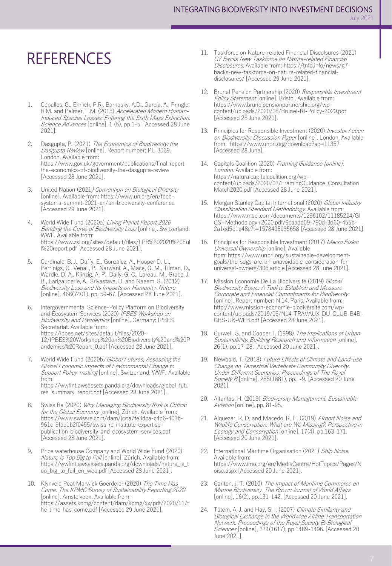## **REFERENCES**

- 1. Ceballos, G., Ehrlich, P.R., Barnosky, A.D., García, A., Pringle, R.M. and Palmer, T.M. (2015) Accelerated Modern Human-Induced Species Losses: Entering the Sixth Mass Extinction. Science Advances [online]. 1 (5), pp.1-5. [Accessed 28 June 2021].
- 2. Dasgupta, P. (2021) The Economics of Biodiversity: the Dasgupta Review [online]. Report number: PU 3069. London. Available from: https://www.gov.uk/government/publications/final-reportthe-economics-of-biodiversity-the-dasgupta-review [Accessed 28 June 2021].
- 3. United Nation (2021) Convention on Biological Diversity [online]. Available from: https://www.un.org/en/foodsystems-summit-2021-en/un-biodiversity-conference [Accessed 29 June 2021].
- 4. World Wide Fund (2020a) Living Planet Report 2020 Bending the Curve of Biodiversity Loss [online]. Switzerland: WWF. Available from: https://www.zsl.org/sites/default/files/LPR%202020%20Ful l%20report.pdf [Accessed 28 June 2021].
- 5. Cardinale, B. J., Duffy, E., Gonzalez, A., Hooper D. U., Perrinigs, C., Venail, P., Narwani, A., Mace, G. M., Tilman, D., Wardle, D. A., Kiinzig, A. P., Daily, G. C., Loreau, M., Grace, J. B., Larigauderie, A., Srivastava, D. and Naeem, S. (2012) Biodiversity Loss and Its Impacts on Humanity. Nature [online]. 468(7401), pp. 59-67. [Accessed 28 June 2021].
- 6. Intergovernmental Science-Policy Platform on Biodiversity and Ecosystem Services (2020) IPBES Workshop on Biodiversity and Pandemics [online]. Germany: IPBES Secretariat. Available from: https://ipbes.net/sites/default/files/2020- 12/IPBES%20Workshop%20on%20Biodiversity%20and%20P andemics%20Report\_0.pdf [Accessed 28 June 2021].
- 7. World Wide Fund (2020b) Global Futures, Assessing the Global Economic Impacts of Environmental Change to Support Policy-making [online]. Switzerland: WWF. Available from: https://wwfint.awsassets.panda.org/downloads/global\_futu res\_summary\_report.pdf [Accessed 28 June 2021].
- 8. Swiss Re (2020) Why Managing Biodiversity Risk is Critical for the Global Economy [online]. Zürich. Available from: https://www.swissre.com/dam/jcr:a7fe3dca-c4d6-403b-961c-9fab1b2f0455/swiss-re-institute-expertisepublication-biodiversity-and-ecosystem-services.pdf [Accessed 28 June 2021].
- 9. Price waterhouse Company and World Wide Fund (2020) Nature is Too Big to Fail [online]. Zürich. Available from: https://wwfint.awsassets.panda.org/downloads/nature\_is\_t oo\_big\_to\_fail\_en\_web.pdf [Accessed 28 June 2021].
- 10. Klynveld Peat Marwick Goerdeler (2020) The Time Has Come: The KPMG Survey of Sustainability Reporting 2020 [online]. Amstelveen. Available from: https://assets.kpmg/content/dam/kpmg/xx/pdf/2020/11/t he-time-has-come.pdf [Accessed 29 June 2021].
- 11. Taskforce on Nature-related Financial Discolsures (2021) G7 Backs New Taskforce on Nature-related Financial Disclosures. Available from: https://tnfd.info/news/g7 backs-new-taskforce-on-nature-related-financialdisclosures/ [Accessed 29 June 2021].
- 12. Brunel Pension Partnership (2020) Responsible Investment Policy Statement [online]. Bristol. Available from: https://www.brunelpensionpartnership.org/wpcontent/uploads/2020/08/Brunel-RI-Policy-2020.pdf [Accessed 28 June 2021].
- 13. Principles for Responsible Investment (2020) Investor Action on Biodiversity: Discussion Paper [online]. London. Available from: https://www.unpri.org/download?ac=11357 [Accessed 28 June].
- 14. Capitals Coalition (2020) Framing Guidance [online]. London. Available from: https://naturalcapitalcoalition.org/wpcontent/uploads/2020/03/FramingGuidance\_Consultation March2020.pdf [Accessed 28 June 2021].
- 15. Morgan Stanley Capital International (2020) Global Industry Classification Standard Methodology. Available from: https://www.msci.com/documents/1296102/11185224/GI CS+Methodology+2020.pdf/9caadd09-790d-3d60-455b-2a1ed5d1e48c?t=1578405935658 [Accessed 28 June 2021].
- 16. Principles for Responsible Investment (2017) Macro Risks: Universal Ownership [online]. Available from: https://www.unpri.org/sustainable-developmentgoals/the-sdgs-are-an-unavoidable-consideration-foruniversal-owners/306.article [Accessed 28 June 2021].
- 17. Mission Économie De La Biodiversité (2019) Global Biodiversity Score: A Tool to Establish and Measure Corporate and Financial Commitments for Biodiversity [online]. Report number: N.14. Paris. Available from: http://www.mission-economie-biodiversite.com/wpcontent/uploads/2019/05/N14-TRAVAUX-DU-CLUB-B4B-GBS-UK-WEB.pdf [Accessed 28 June 2021].
- 18. Curwell, S. and Cooper, I. (1998) The Implications of Urban Sustainability. Building Research and Information [online], 26(1), pp.17-28. [Accessed 20 June 2021].
- 19. Newbold, T. (2018) Future Effects of Climate and Land-use Change on Terrestrial Vertebrate Community Diversity Under Different Scenarios. Proceedings of The Royal Society B [online]. 285(1881), pp.1-9. [Accessed 20 June 2021].
- 20. Altuntas, H. (2019) Biodiversity Management. Sustainable Aviation [online]. pp. 81-95.
- 21. Alquezar, R. D. and Macedo, R. H. (2019) Airport Noise and Wildlife Conservation: What are We Missing?. Perspective in Ecology and Conservation [online]. 17(4), pp.163-171. [Accessed 20 June 2021].
- 22. International Maritime Organisation (2021) Ship Noise. Available from: https://www.imo.org/en/MediaCentre/HotTopics/Pages/N oise.aspx [Accessed 20 June 2021].
- 23. Carlton, J. T. (2010) The Impact of Maritime Commerce on Marine Biodiversity. The Brown Journal of World Affairs [online], 16(2), pp.131-142. [Accessed 20 June 2021].
- 24. Tatem, A. J. and Hay, S. I. (2007) Climate Similarity and Biological Exchange in the Worldwide Airline Transportation Network. Proceedings of the Royal Society B: Biological Sciences [online], 274(1617), pp.1489-1496. [Accessed 20 June 2021].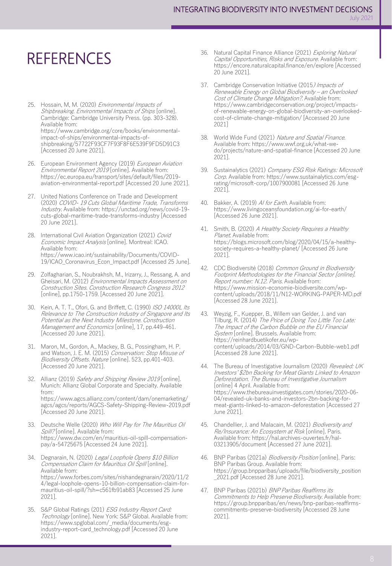## **REFERENCES**

- 25. Hossain, M, M. (2020) Environmental Impacts of Shipbreaking. Environmental Impacts of Ships [online]. Cambridge: Cambridge University Press. (pp. 303-328). Available from: https://www.cambridge.org/core/books/environmentalimpact-of-ships/environmental-impacts-ofshipbreaking/57722F93CF7F93F8F6E539F9FD5D91C3 [Accessed 20 June 2021].
- 26. European Environment Agency (2019) European Aviation Environmental Report 2019 [online]. Available from: https://ec.europa.eu/transport/sites/default/files/2019 aviation-environmental-report.pdf [Accessed 20 June 2021].
- 27. United Nations Conference on Trade and Development (2020) COVID- 19 Cuts Global Maritime Trade, Transforms Industry. Available from: https://unctad.org/news/covid-19 cuts-global-maritime-trade-transforms-industry [Accessed 20 June 2021].
- 28. International Civil Aviation Organization (2021) Covid Economic Impact Analysis [online]. Montreal: ICAO. Available from: https://www.icao.int/sustainability/Documents/COVID-19/ICAO\_Coronavirus\_Econ\_Impact.pdf [Accessed 25 June].
- 29. Zolfagharian, S., Noubrakhsh, M., Irizarry, J., Ressang, A. and Gheisari, M. (2012) Environmental Impacts Assessment on Construction Sites. Construction Research Congress 2012 [online], pp.1750-1759. [Accessed 20 June 2021].
- Kein, A. T. T., Ofori, G. and Briffett, C. (1990) ISO 14000L Its Relevance to The Construction Industry of Singapore and Its Potential as the Next Industry Milestone. Construction Management and Economics [online], 17, pp.449-461. [Accessed 20 June 2021].
- 31. Maron, M., Gordon, A., Mackey, B. G., Possingham, H. P. and Watson, J. E. M. (2015) Conservation: Stop Misuse of Biodiversity Offsets. Nature [online]. 523, pp.401-403. [Accessed 20 June 2021].
- 32. Allianz (2019) Safety and Shipping Review 2019 [online]. Munich: Allianz Global Corporate and Specialty. Available from: https://www.agcs.allianz.com/content/dam/onemarketing/ agcs/agcs/reports/AGCS-Safety-Shipping-Review-2019.pdf [Accessed 20 June 2021].
- 33. Deutsche Welle (2020) Who Will Pay for The Mauritius Oil Spill? [online]. Available from: https://www.dw.com/en/mauritius-oil-spill-compensationpay/a-54725675 [Accessed 24 June 2021].
- 34. Degnarain, N. (2020) Legal Loophole Opens \$10 Billion Compensation Claim for Mauritius Oil Spill [online]. Available from: https://www.forbes.com/sites/nishandegnarain/2020/11/2 4/legal-loophole-opens-10-billion-compensation-claim-formauritius-oil-spill/?sh=c561fb91ab83 [Accessed 25 June 2021].
- 35. S&P Global Ratings (201) ESG Industry Report Card: Technology [online]. New York: S&P Global. Available from: https://www.spglobal.com/\_media/documents/esgindustry-report-card\_technology.pdf [Accessed 20 June 2021].
- 36. Natural Capital Finance Alliance (2021) Exploring Natural Capital Opportunities, Risks and Exposure. Available from: https://encore.naturalcapital.finance/en/explore [Accessed 20 June 2021].
- 37. Cambridge Conservation Initiative (2015) Impacts of Renewable Energy on Global Biodiversity – an Overlooked Cost of Climate Change Mitigation?. Available from: https://www.cambridgeconservation.org/project/impactsof-renewable-energy-on-global-biodiversity-an-overlookedcost-of-climate-change-mitigation/ [Accessed 20 June 2021]
- 38. World Wide Fund (2021) Nature and Spatial Finance. Available from: https://www.wwf.org.uk/what-wedo/projects/nature-and-spatial-finance [Accessed 20 June 2021].
- 39. Sustainalytics (2021) Company ESG Risk Ratings: Microsoft Corp. Available from: https://www.sustainalytics.com/esgrating/microsoft-corp/1007900081 [Accessed 26 June 2021].
- 40. Bakker, A. (2019) AI for Earth. Available from: https://www.livingoceansfoundation.org/ai-for-earth/ [Accessed 26 June 2021].
- 41. Smith, B. (2020) A Healthy Society Requires a Healthy Planet. Available from: https://blogs.microsoft.com/blog/2020/04/15/a-healthysociety-requires-a-healthy-planet/ [Accessed 26 June 2021].
- 42. CDC Biodiversité (2018) Common Ground in Biodiversity Footprint Methodologies for the Financial Sector [online]. Report number: N.12. Paris. Available from: https://www.mission-economie-biodiversite.com/wpcontent/uploads/2018/11/N12-WORKING-PAPER-MD.pdf [Accessed 28 June 2021].
- 43. Weyzig, F., Kuepper, B., Willem van Gelder, J. and van Tilburg, R. (2014) The Price of Doing Too Little Too Late: The Impact of the Carbon Bubble on the EU Financial System [online]. Brussels. Available from: https://reinhardbuetikofer.eu/wpcontent/uploads/2014/03/GND-Carbon-Bubble-web1.pdf [Accessed 28 June 2021].
- 44. The Bureau of Investigative Journalism (2020) Revealed: UK Investors' \$2bn Backing for Meat Giants Linked to Amazon Deforestation. The Bureau of Investigative Journalism [online] 4 April. Available from: https://www.thebureauinvestigates.com/stories/2020-06- 04/revealed-uk-banks-and-investors-2bn-backing-formeat-giants-linked-to-amazon-deforestation [Accessed 27 June 2021].
- 45. Chandellier, J. and Malacain, M. (2021) Biodiversity and Re/Insurance: An Ecosystem at Risk [online]. Paris. Available from: https://hal.archives-ouvertes.fr/hal-03213905/document [Accessed 27 June 2021].
- 46. BNP Paribas (2021a) Biodiversity Position [online]. Paris: BNP Paribas Group. Available from: https://group.bnpparibas/uploads/file/biodiversity\_position \_2021.pdf [Accessed 28 June 2021].
- 47. BNP Paribas (2021b) BNP Paribas Reaffirms its Commitments to Help Preserve Biodiversity. Available from: https://group.bnpparibas/en/news/bnp-paribas-reaffirmscommitments-preserve-biodiversity [Accessed 28 June 2021].